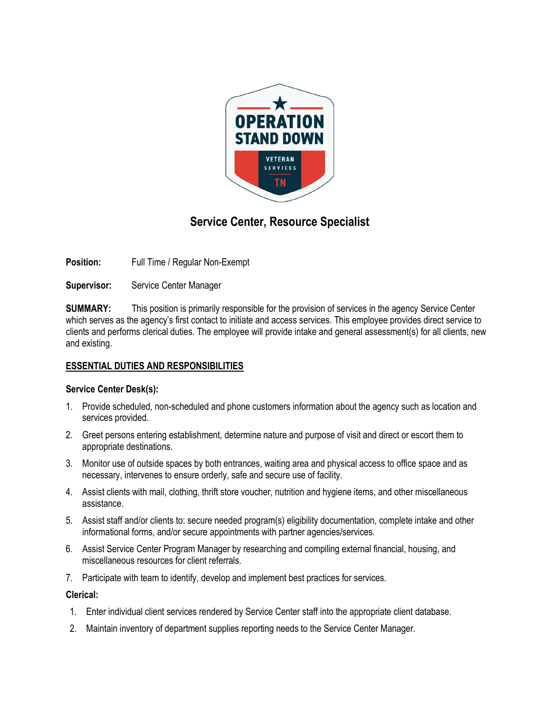

# **Service Center, Resource Specialist**

**Position:** Full Time / Regular Non-Exempt

**Supervisor:** Service Center Manager

**SUMMARY:** This position is primarily responsible for the provision of services in the agency Service Center which serves as the agency's first contact to initiate and access services. This employee provides direct service to clients and performs clerical duties. The employee will provide intake and general assessment(s) for all clients, new and existing.

## **ESSENTIAL DUTIES AND RESPONSIBILITIES**

## **Service Center Desk(s):**

- 1. Provide scheduled, non-scheduled and phone customers information about the agency such as location and services provided.
- 2. Greet persons entering establishment, determine nature and purpose of visit and direct or escort them to appropriate destinations.
- 3. Monitor use of outside spaces by both entrances, waiting area and physical access to office space and as necessary, intervenes to ensure orderly, safe and secure use of facility.
- 4. Assist clients with mail, clothing, thrift store voucher, nutrition and hygiene items, and other miscellaneous assistance.
- 5. Assist staff and/or clients to: secure needed program(s) eligibility documentation, complete intake and other informational forms, and/or secure appointments with partner agencies/services.
- 6. Assist Service Center Program Manager by researching and compiling external financial, housing, and miscellaneous resources for client referrals.
- 7. Participate with team to identify, develop and implement best practices for services.

#### **Clerical:**

- 1. Enter individual client services rendered by Service Center staff into the appropriate client database.
- 2. Maintain inventory of department supplies reporting needs to the Service Center Manager.